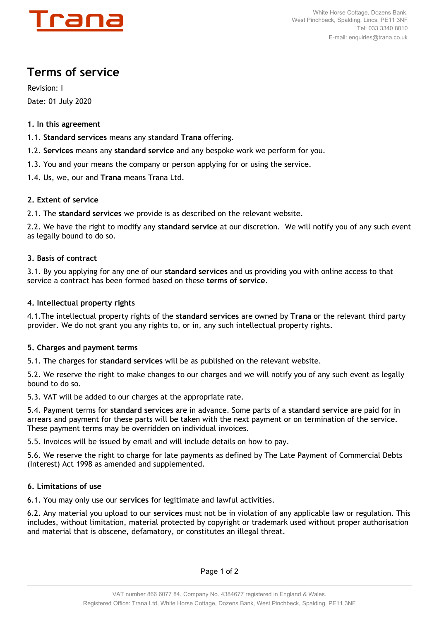

# **Terms of service**

Revision: I Date: 01 July 2020

## **1. In this agreement**

1.1. **Standard services** means any standard **Trana** offering.

- 1.2. **Services** means any **standard service** and any bespoke work we perform for you.
- 1.3. You and your means the company or person applying for or using the service.
- 1.4. Us, we, our and **Trana** means Trana Ltd.

## **2. Extent of service**

2.1. The **standard services** we provide is as described on the relevant website.

2.2. We have the right to modify any **standard service** at our discretion. We will notify you of any such event as legally bound to do so.

## **3. Basis of contract**

3.1. By you applying for any one of our **standard services** and us providing you with online access to that service a contract has been formed based on these **terms of service**.

## **4. Intellectual property rights**

4.1.The intellectual property rights of the **standard services** are owned by **Trana** or the relevant third party provider. We do not grant you any rights to, or in, any such intellectual property rights.

## **5. Charges and payment terms**

5.1. The charges for **standard services** will be as published on the relevant website.

5.2. We reserve the right to make changes to our charges and we will notify you of any such event as legally bound to do so.

5.3. VAT will be added to our charges at the appropriate rate.

5.4. Payment terms for **standard services** are in advance. Some parts of a **standard service** are paid for in arrears and payment for these parts will be taken with the next payment or on termination of the service. These payment terms may be overridden on individual invoices.

5.5. Invoices will be issued by email and will include details on how to pay.

5.6. We reserve the right to charge for late payments as defined by The Late Payment of Commercial Debts (Interest) Act 1998 as amended and supplemented.

## **6. Limitations of use**

6.1. You may only use our **services** for legitimate and lawful activities.

6.2. Any material you upload to our **services** must not be in violation of any applicable law or regulation. This includes, without limitation, material protected by copyright or trademark used without proper authorisation and material that is obscene, defamatory, or constitutes an illegal threat.

Page 1 of 2